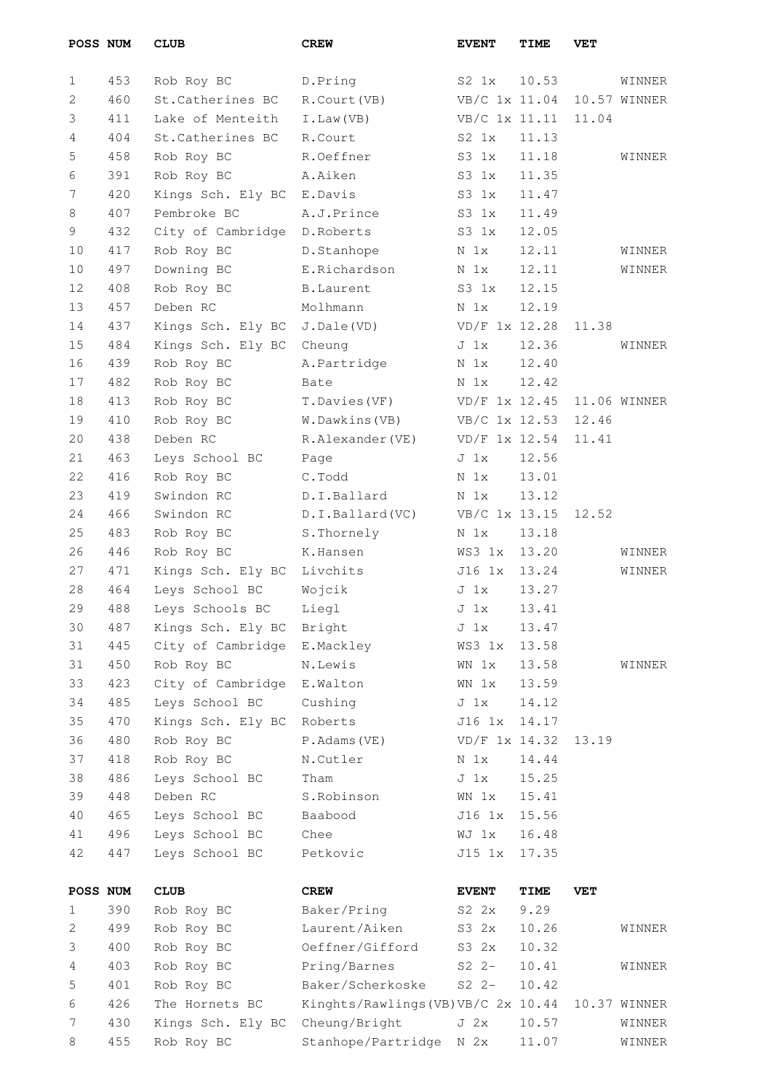| POSS NUM |     | <b>CLUB</b>       | <b>CREW</b>                       | <b>EVENT</b>    | TIME  | VET   |              |
|----------|-----|-------------------|-----------------------------------|-----------------|-------|-------|--------------|
| 1        | 453 | Rob Roy BC        | D.Pring                           | $S2 \; 1x$      | 10.53 |       | WINNER       |
| 2        | 460 | St. Catherines BC | R.Court (VB)                      | VB/C 1x 11.04   |       |       | 10.57 WINNER |
| 3        | 411 | Lake of Menteith  | I.Law(VB)                         | VB/C 1x 11.11   |       | 11.04 |              |
| 4        | 404 | St. Catherines BC | R.Court                           | $S2 \; 1x$      | 11.13 |       |              |
| 5        | 458 | Rob Roy BC        | R.Oeffner                         | $S3 \; 1x$      | 11.18 |       | WINNER       |
| 6        | 391 | Rob Roy BC        | A.Aiken                           | $S3$ $1x$       | 11.35 |       |              |
| 7        | 420 | Kings Sch. Ely BC | E.Davis                           | $S3$ $1x$       | 11.47 |       |              |
| 8        | 407 | Pembroke BC       | A.J.Prince                        | $S3 \; 1x$      | 11.49 |       |              |
| 9        | 432 | City of Cambridge | D.Roberts                         | $S3$ $1x$       | 12.05 |       |              |
| 10       | 417 | Rob Roy BC        | D.Stanhope                        | N 1x            | 12.11 |       | WINNER       |
| 10       | 497 | Downing BC        | E.Richardson                      | N 1x            | 12.11 |       | WINNER       |
| 12       | 408 | Rob Roy BC        | <b>B.Laurent</b>                  | $S3 \; 1x$      | 12.15 |       |              |
| 13       | 457 | Deben RC          | Molhmann                          |                 | 12.19 |       |              |
|          |     |                   |                                   | N 1x            |       |       |              |
| 14       | 437 | Kings Sch. Ely BC | J.Dale(VD)                        | VD/F 1x 12.28   |       | 11.38 |              |
| 15       | 484 | Kings Sch. Ely BC | Cheung                            | J <sub>1x</sub> | 12.36 |       | WINNER       |
| 16       | 439 | Rob Roy BC        | A.Partridge                       | N <sub>1x</sub> | 12.40 |       |              |
| 17       | 482 | Rob Roy BC        | Bate                              | N <sub>1x</sub> | 12.42 |       |              |
| 18       | 413 | Rob Roy BC        | T.Davies (VF)                     | VD/F 1x 12.45   |       |       | 11.06 WINNER |
| 19       | 410 | Rob Roy BC        | W.Dawkins(VB)                     | VB/C 1x 12.53   |       | 12.46 |              |
| 20       | 438 | Deben RC          | R.Alexander(VE)                   | VD/F 1x 12.54   |       | 11.41 |              |
| 21       | 463 | Leys School BC    | Page                              | J <sub>1x</sub> | 12.56 |       |              |
| 22       | 416 | Rob Roy BC        | C.Todd                            | N 1x            | 13.01 |       |              |
| 23       | 419 | Swindon RC        | D.I.Ballard                       | N 1x            | 13.12 |       |              |
| 24       | 466 | Swindon RC        | D.I.Ballard(VC)                   | VB/C 1x 13.15   |       | 12.52 |              |
| 25       | 483 | Rob Roy BC        | S.Thornely                        | N 1x            | 13.18 |       |              |
| 26       | 446 | Rob Roy BC        | K.Hansen                          | WS3 1x          | 13.20 |       | WINNER       |
| 27       | 471 | Kings Sch. Ely BC | Livchits                          | J16 1x          | 13.24 |       | WINNER       |
| 28       | 464 | Leys School BC    | Wojcik                            | J <sub>1x</sub> | 13.27 |       |              |
| 29       | 488 | Leys Schools BC   | Liegl                             | J 1x            | 13.41 |       |              |
| 30       | 487 | Kings Sch. Ely BC | Bright                            | $J_1x$          | 13.47 |       |              |
| 31       | 445 | City of Cambridge | E.Mackley                         | WS3 1x          | 13.58 |       |              |
| 31       | 450 | Rob Roy BC        | N.Lewis                           | WN 1x           | 13.58 |       | WINNER       |
| 33       | 423 | City of Cambridge | E.Walton                          | WN 1x           | 13.59 |       |              |
| 34       | 485 | Leys School BC    | Cushing                           | J <sub>1x</sub> | 14.12 |       |              |
| 35       | 470 | Kings Sch. Ely BC | Roberts                           | J16 1x          | 14.17 |       |              |
| 36       | 480 | Rob Roy BC        | P.Adams(VE)                       | VD/F 1x 14.32   |       | 13.19 |              |
| 37       | 418 | Rob Roy BC        | N.Cutler                          | N 1x            | 14.44 |       |              |
| 38       | 486 | Leys School BC    | Tham                              | $J_1x$          | 15.25 |       |              |
| 39       | 448 | Deben RC          | S.Robinson                        | WN 1x           | 15.41 |       |              |
| 40       | 465 | Leys School BC    | Baabood                           | J16 1x          | 15.56 |       |              |
| 41       | 496 | Leys School BC    | Chee                              | WJ 1x           | 16.48 |       |              |
| 42       | 447 | Leys School BC    | Petkovic                          | J15 1x          | 17.35 |       |              |
| POSS NUM |     | <b>CLUB</b>       | <b>CREW</b>                       | <b>EVENT</b>    | TIME  | VET   |              |
| 1        | 390 | Rob Roy BC        | Baker/Pring                       | S2 2x           | 9.29  |       |              |
| 2        | 499 | Rob Roy BC        | Laurent/Aiken                     | S3 2x           | 10.26 |       | WINNER       |
| 3        | 400 | Rob Roy BC        | Oeffner/Gifford                   | S3 2x           | 10.32 |       |              |
| 4        | 403 | Rob Roy BC        | Pring/Barnes                      | $S2$ $2-$       | 10.41 |       | WINNER       |
| 5        | 401 | Rob Roy BC        | Baker/Scherkoske                  | $S2 2-$         | 10.42 |       |              |
| 6        | 426 | The Hornets BC    | Kinghts/Rawlings(VB)VB/C 2x 10.44 |                 |       |       | 10.37 WINNER |
| 7        | 430 | Kings Sch. Ely BC | Cheung/Bright                     | J <sub>2x</sub> | 10.57 |       | WINNER       |
| 8        | 455 | Rob Roy BC        | Stanhope/Partridge                | N 2x            | 11.07 |       | WINNER       |
|          |     |                   |                                   |                 |       |       |              |